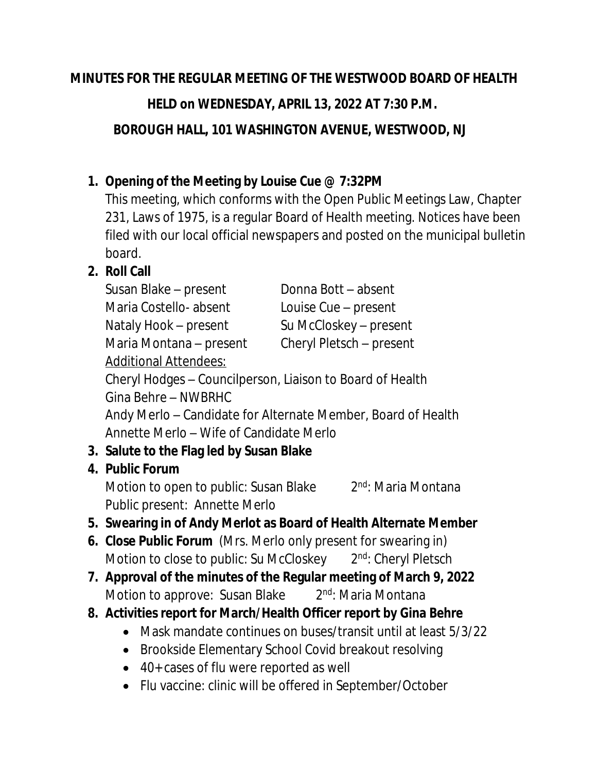#### **MINUTES FOR THE REGULAR MEETING OF THE WESTWOOD BOARD OF HEALTH**

### **HELD on WEDNESDAY, APRIL 13, 2022 AT 7:30 P.M.**

 **BOROUGH HALL, 101 WASHINGTON AVENUE, WESTWOOD, NJ**

## **1. Opening of the Meeting by Louise Cue @ 7:32PM**

This meeting, which conforms with the Open Public Meetings Law, Chapter 231, Laws of 1975, is a regular Board of Health meeting. Notices have been filed with our local official newspapers and posted on the municipal bulletin board.

# **2. Roll Call**

| Susan Blake – present                                        | Donna Bott – absent      |
|--------------------------------------------------------------|--------------------------|
| Maria Costello-absent                                        | Louise Cue - present     |
| Nataly Hook – present                                        | Su McCloskey - present   |
| Maria Montana - present                                      | Cheryl Pletsch - present |
| <b>Additional Attendees:</b>                                 |                          |
| Cheryl Hodges – Councilperson, Liaison to Board of Health    |                          |
| Gina Behre - NWBRHC                                          |                          |
| Andy Merlo – Candidate for Alternate Member, Board of Health |                          |
| Annette Merlo - Wife of Candidate Merlo                      |                          |
| 3. Salute to the Flag led by Susan Blake                     |                          |
| 4. Public Forum                                              |                          |

Motion to open to public: Susan Blake 2 2<sup>nd</sup>: Maria Montana Public present: Annette Merlo

### **5. Swearing in of Andy Merlot as Board of Health Alternate Member**

- **6. Close Public Forum** (Mrs. Merlo only present for swearing in) Motion to close to public: Su McCloskey 2<sup>nd</sup>: Cheryl Pletsch
- **7. Approval of the minutes of the Regular meeting of March 9, 2022** Motion to approve: Susan Blake 2nd: Maria Montana
- **8. Activities report for March/Health Officer report by Gina Behre**
	- Mask mandate continues on buses/transit until at least 5/3/22
	- Brookside Elementary School Covid breakout resolving
	- 40+ cases of flu were reported as well
	- Flu vaccine: clinic will be offered in September/October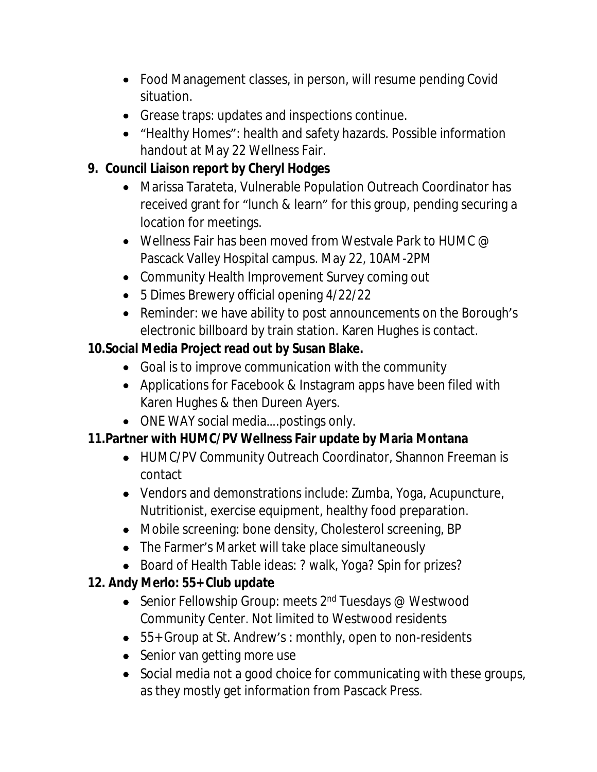- Food Management classes, in person, will resume pending Covid situation.
- Grease traps: updates and inspections continue.
- "Healthy Homes": health and safety hazards. Possible information handout at May 22 Wellness Fair.

## **9. Council Liaison report by Cheryl Hodges**

- Marissa Tarateta, Vulnerable Population Outreach Coordinator has received grant for "lunch & learn" for this group, pending securing a location for meetings.
- Wellness Fair has been moved from Westvale Park to HUMC  $@$ Pascack Valley Hospital campus. May 22, 10AM-2PM
- Community Health Improvement Survey coming out
- 5 Dimes Brewery official opening 4/22/22
- Reminder: we have ability to post announcements on the Borough's electronic billboard by train station. Karen Hughes is contact.

## **10.Social Media Project read out by Susan Blake.**

- Goal is to improve communication with the community
- Applications for Facebook & Instagram apps have been filed with Karen Hughes & then Dureen Ayers.
- ONE WAY social media....postings only.

# **11.Partner with HUMC/PV Wellness Fair update by Maria Montana**

- HUMC/PV Community Outreach Coordinator, Shannon Freeman is contact
- Vendors and demonstrations include: Zumba, Yoga, Acupuncture, Nutritionist, exercise equipment, healthy food preparation.
- Mobile screening: bone density, Cholesterol screening, BP
- The Farmer's Market will take place simultaneously
- Board of Health Table ideas: ? walk, Yoga? Spin for prizes?

# **12. Andy Merlo: 55+ Club update**

- Senior Fellowship Group: meets 2<sup>nd</sup> Tuesdays @ Westwood Community Center. Not limited to Westwood residents
- 55+ Group at St. Andrew's : monthly, open to non-residents
- Senior van getting more use
- Social media not a good choice for communicating with these groups, as they mostly get information from Pascack Press.